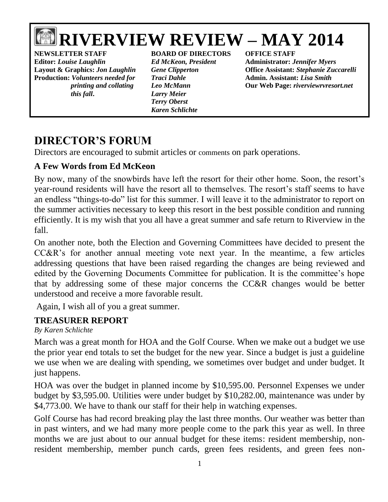# **RIVERVIEW REVIEW – MAY 2014**

**NEWSLETTER STAFF BOARD OF DIRECTORS OFFICE STAFF Editor:** *Louise Laughlin Ed McKeon, President* **Administrator:** *Jennifer Myers* **Production:** *Volunteers needed for Traci Dahle* **Admin. Assistant:** *Lisa Smith* *this fall***.** *Larry Meier*

*Terry Oberst Karen Schlichte*

**Layout & Graphics:** *Jon Laughlin Gene Clipperton* **Office Assistant:** *Stephanie Zuccarelli printing and collating Leo McMann* **Our Web Page:** *riverviewrvresort.net*

## **DIRECTOR'S FORUM**

Directors are encouraged to submit articles or comments on park operations.

### **A Few Words from Ed McKeon**

By now, many of the snowbirds have left the resort for their other home. Soon, the resort's year-round residents will have the resort all to themselves. The resort's staff seems to have an endless "things-to-do" list for this summer. I will leave it to the administrator to report on the summer activities necessary to keep this resort in the best possible condition and running efficiently. It is my wish that you all have a great summer and safe return to Riverview in the fall.

On another note, both the Election and Governing Committees have decided to present the CC&R's for another annual meeting vote next year. In the meantime, a few articles addressing questions that have been raised regarding the changes are being reviewed and edited by the Governing Documents Committee for publication. It is the committee's hope that by addressing some of these major concerns the CC&R changes would be better understood and receive a more favorable result.

Again, I wish all of you a great summer.

### **TREASURER REPORT**

*By Karen Schlichte*

March was a great month for HOA and the Golf Course. When we make out a budget we use the prior year end totals to set the budget for the new year. Since a budget is just a guideline we use when we are dealing with spending, we sometimes over budget and under budget. It just happens.

HOA was over the budget in planned income by \$10,595.00. Personnel Expenses we under budget by \$3,595.00. Utilities were under budget by \$10,282.00, maintenance was under by \$4,773.00. We have to thank our staff for their help in watching expenses.

Golf Course has had record breaking play the last three months. Our weather was better than in past winters, and we had many more people come to the park this year as well. In three months we are just about to our annual budget for these items: resident membership, nonresident membership, member punch cards, green fees residents, and green fees non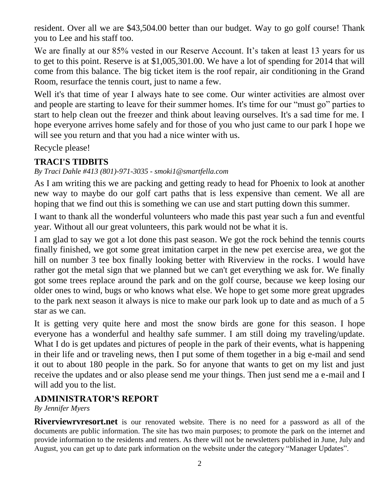resident. Over all we are \$43,504.00 better than our budget. Way to go golf course! Thank you to Lee and his staff too.

We are finally at our 85% vested in our Reserve Account. It's taken at least 13 years for us to get to this point. Reserve is at \$1,005,301.00. We have a lot of spending for 2014 that will come from this balance. The big ticket item is the roof repair, air conditioning in the Grand Room, resurface the tennis court, just to name a few.

Well it's that time of year I always hate to see come. Our winter activities are almost over and people are starting to leave for their summer homes. It's time for our "must go" parties to start to help clean out the freezer and think about leaving ourselves. It's a sad time for me. I hope everyone arrives home safely and for those of you who just came to our park I hope we will see you return and that you had a nice winter with us.

Recycle please!

### **TRACI'S TIDBITS**

*By Traci Dahle #413 (801)-971-3035 - smoki1@smartfella.com*

As I am writing this we are packing and getting ready to head for Phoenix to look at another new way to maybe do our golf cart paths that is less expensive than cement. We all are hoping that we find out this is something we can use and start putting down this summer.

I want to thank all the wonderful volunteers who made this past year such a fun and eventful year. Without all our great volunteers, this park would not be what it is.

I am glad to say we got a lot done this past season. We got the rock behind the tennis courts finally finished, we got some great imitation carpet in the new pet exercise area, we got the hill on number 3 tee box finally looking better with Riverview in the rocks. I would have rather got the metal sign that we planned but we can't get everything we ask for. We finally got some trees replace around the park and on the golf course, because we keep losing our older ones to wind, bugs or who knows what else. We hope to get some more great upgrades to the park next season it always is nice to make our park look up to date and as much of a 5 star as we can.

It is getting very quite here and most the snow birds are gone for this season. I hope everyone has a wonderful and healthy safe summer. I am still doing my traveling/update. What I do is get updates and pictures of people in the park of their events, what is happening in their life and or traveling news, then I put some of them together in a big e-mail and send it out to about 180 people in the park. So for anyone that wants to get on my list and just receive the updates and or also please send me your things. Then just send me a e-mail and I will add you to the list.

### **ADMINISTRATOR'S REPORT**

#### *By Jennifer Myers*

**Riverviewrvresort.net** is our renovated website. There is no need for a password as all of the documents are public information. The site has two main purposes; to promote the park on the internet and provide information to the residents and renters. As there will not be newsletters published in June, July and August, you can get up to date park information on the website under the category "Manager Updates".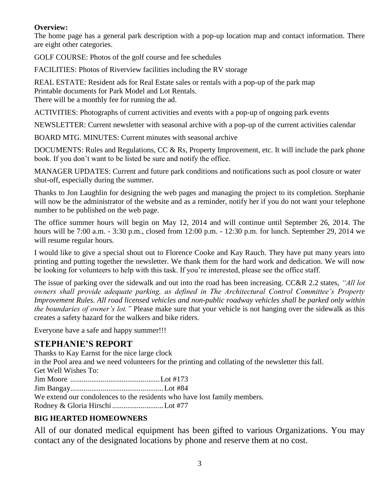#### **Overview:**

The home page has a general park description with a pop-up location map and contact information. There are eight other categories.

GOLF COURSE: Photos of the golf course and fee schedules

FACILITIES: Photos of Riverview facilities including the RV storage

REAL ESTATE: Resident ads for Real Estate sales or rentals with a pop-up of the park map Printable documents for Park Model and Lot Rentals. There will be a monthly fee for running the ad.

ACTIVITIES: Photographs of current activities and events with a pop-up of ongoing park events

NEWSLETTER: Current newsletter with seasonal archive with a pop-up of the current activities calendar

BOARD MTG. MINUTES: Current minutes with seasonal archive

DOCUMENTS: Rules and Regulations, CC & Rs, Property Improvement, etc. It will include the park phone book. If you don't want to be listed be sure and notify the office.

MANAGER UPDATES: Current and future park conditions and notifications such as pool closure or water shut-off, especially during the summer.

Thanks to Jon Laughlin for designing the web pages and managing the project to its completion. Stephanie will now be the administrator of the website and as a reminder, notify her if you do not want your telephone number to be published on the web page.

The office summer hours will begin on May 12, 2014 and will continue until September 26, 2014. The hours will be 7:00 a.m. - 3:30 p.m., closed from 12:00 p.m. - 12:30 p.m. for lunch. September 29, 2014 we will resume regular hours.

I would like to give a special shout out to Florence Cooke and Kay Rauch. They have put many years into printing and putting together the newsletter. We thank them for the hard work and dedication. We will now be looking for volunteers to help with this task. If you're interested, please see the office staff.

The issue of parking over the sidewalk and out into the road has been increasing. CC&R 2.2 states, *"All lot owners shall provide adequate parking, as defined in The Architectural Control Committee's Property Improvement Rules. All road licensed vehicles and non-public roadway vehicles shall be parked only within the boundaries of owner's lot."* Please make sure that your vehicle is not hanging over the sidewalk as this creates a safety hazard for the walkers and bike riders.

Everyone have a safe and happy summer!!!

### **STEPHANIE'S REPORT**

Thanks to Kay Earnst for the nice large clock in the Pool area and we need volunteers for the printing and collating of the newsletter this fall. Get Well Wishes To: Jim Moore ...............................................Lot #173 Jim Bangay.................................................Lot #84 We extend our condolences to the residents who have lost family members. Rodney & Gloria Hirschi...........................Lot #77

### **BIG HEARTED HOMEOWNERS**

All of our donated medical equipment has been gifted to various Organizations. You may contact any of the designated locations by phone and reserve them at no cost.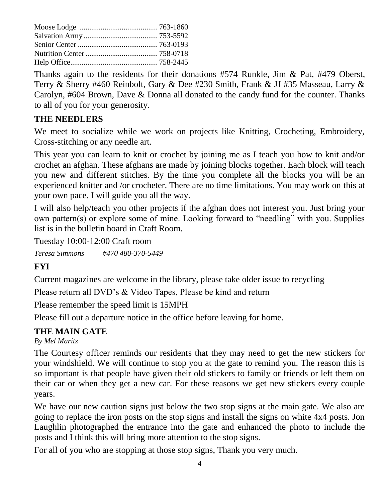Thanks again to the residents for their donations #574 Runkle, Jim & Pat, #479 Oberst, Terry & Sherry #460 Reinbolt, Gary & Dee #230 Smith, Frank & JJ #35 Masseau, Larry & Carolyn, #604 Brown, Dave & Donna all donated to the candy fund for the counter. Thanks to all of you for your generosity.

### **THE NEEDLERS**

We meet to socialize while we work on projects like Knitting, Crocheting, Embroidery, Cross-stitching or any needle art.

This year you can learn to knit or crochet by joining me as I teach you how to knit and/or crochet an afghan. These afghans are made by joining blocks together. Each block will teach you new and different stitches. By the time you complete all the blocks you will be an experienced knitter and /or crocheter. There are no time limitations. You may work on this at your own pace. I will guide you all the way.

I will also help/teach you other projects if the afghan does not interest you. Just bring your own pattern(s) or explore some of mine. Looking forward to "needling" with you. Supplies list is in the bulletin board in Craft Room.

Tuesday 10:00-12:00 Craft room *Teresa Simmons #470 480-370-5449*

### **FYI**

Current magazines are welcome in the library, please take older issue to recycling

Please return all DVD's & Video Tapes, Please be kind and return

Please remember the speed limit is 15MPH

Please fill out a departure notice in the office before leaving for home.

### **THE MAIN GATE**

*By Mel Maritz*

The Courtesy officer reminds our residents that they may need to get the new stickers for your windshield. We will continue to stop you at the gate to remind you. The reason this is so important is that people have given their old stickers to family or friends or left them on their car or when they get a new car. For these reasons we get new stickers every couple years.

We have our new caution signs just below the two stop signs at the main gate. We also are going to replace the iron posts on the stop signs and install the signs on white 4x4 posts. Jon Laughlin photographed the entrance into the gate and enhanced the photo to include the posts and I think this will bring more attention to the stop signs.

For all of you who are stopping at those stop signs, Thank you very much.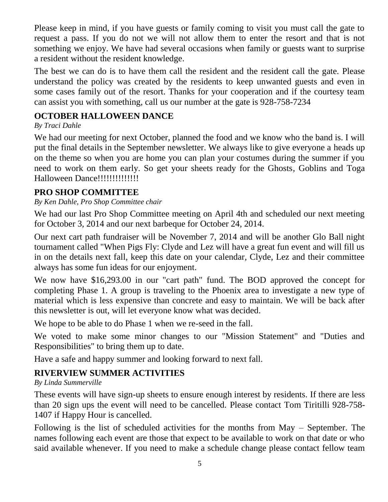Please keep in mind, if you have guests or family coming to visit you must call the gate to request a pass. If you do not we will not allow them to enter the resort and that is not something we enjoy. We have had several occasions when family or guests want to surprise a resident without the resident knowledge.

The best we can do is to have them call the resident and the resident call the gate. Please understand the policy was created by the residents to keep unwanted guests and even in some cases family out of the resort. Thanks for your cooperation and if the courtesy team can assist you with something, call us our number at the gate is 928-758-7234

### **OCTOBER HALLOWEEN DANCE**

### *By Traci Dahle*

We had our meeting for next October, planned the food and we know who the band is. I will put the final details in the September newsletter. We always like to give everyone a heads up on the theme so when you are home you can plan your costumes during the summer if you need to work on them early. So get your sheets ready for the Ghosts, Goblins and Toga Halloween Dance!!!!!!!!!!!!!!

### **PRO SHOP COMMITTEE**

### *By Ken Dahle, Pro Shop Committee chair*

We had our last Pro Shop Committee meeting on April 4th and scheduled our next meeting for October 3, 2014 and our next barbeque for October 24, 2014.

Our next cart path fundraiser will be November 7, 2014 and will be another Glo Ball night tournament called "When Pigs Fly: Clyde and Lez will have a great fun event and will fill us in on the details next fall, keep this date on your calendar, Clyde, Lez and their committee always has some fun ideas for our enjoyment.

We now have \$16,293.00 in our "cart path" fund. The BOD approved the concept for completing Phase 1. A group is traveling to the Phoenix area to investigate a new type of material which is less expensive than concrete and easy to maintain. We will be back after this newsletter is out, will let everyone know what was decided.

We hope to be able to do Phase 1 when we re-seed in the fall.

We voted to make some minor changes to our "Mission Statement" and "Duties and Responsibilities" to bring them up to date.

Have a safe and happy summer and looking forward to next fall.

### **RIVERVIEW SUMMER ACTIVITIES**

*By Linda Summerville*

These events will have sign-up sheets to ensure enough interest by residents. If there are less than 20 sign ups the event will need to be cancelled. Please contact Tom Tiritilli 928-758- 1407 if Happy Hour is cancelled.

Following is the list of scheduled activities for the months from May – September. The names following each event are those that expect to be available to work on that date or who said available whenever. If you need to make a schedule change please contact fellow team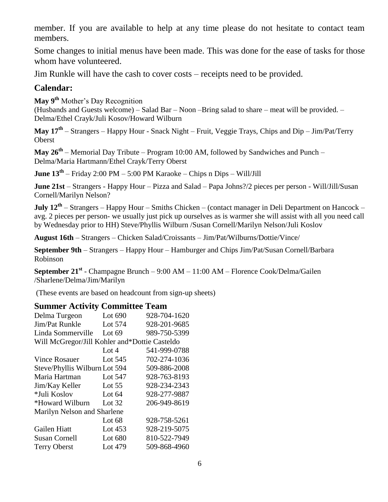member. If you are available to help at any time please do not hesitate to contact team members.

Some changes to initial menus have been made. This was done for the ease of tasks for those whom have volunteered.

Jim Runkle will have the cash to cover costs – receipts need to be provided.

### **Calendar:**

**May 9th** Mother's Day Recognition

(Husbands and Guests welcome) – Salad Bar – Noon –Bring salad to share – meat will be provided. – Delma/Ethel Crayk/Juli Kosov/Howard Wilburn

**May 17th** – Strangers – Happy Hour - Snack Night – Fruit, Veggie Trays, Chips and Dip – Jim/Pat/Terry Oberst

**May 26th** – Memorial Day Tribute – Program 10:00 AM, followed by Sandwiches and Punch – Delma/Maria Hartmann/Ethel Crayk/Terry Oberst

**June 13th** – Friday 2:00 PM – 5:00 PM Karaoke – Chips n Dips – Will/Jill

**June 21st** – Strangers - Happy Hour – Pizza and Salad – Papa Johns?/2 pieces per person - Will/Jill/Susan Cornell/Marilyn Nelson?

**July 12th** – Strangers – Happy Hour – Smiths Chicken – (contact manager in Deli Department on Hancock – avg. 2 pieces per person- we usually just pick up ourselves as is warmer she will assist with all you need call by Wednesday prior to HH) Steve/Phyllis Wilburn /Susan Cornell/Marilyn Nelson/Juli Koslov

**August 16th** – Strangers – Chicken Salad/Croissants – Jim/Pat/Wilburns/Dottie/Vince/

**September 9th** – Strangers – Happy Hour – Hamburger and Chips Jim/Pat/Susan Cornell/Barbara Robinson

**September 21st** - Champagne Brunch – 9:00 AM – 11:00 AM – Florence Cook/Delma/Gailen /Sharlene/Delma/Jim/Marilyn

(These events are based on headcount from sign-up sheets)

### **Summer Activity Committee Team**

| Delma Turgeon                                 | Lot 690   | 928-704-1620 |  |  |
|-----------------------------------------------|-----------|--------------|--|--|
| Jim/Pat Runkle                                | Lot 574   | 928-201-9685 |  |  |
| Linda Sommerville                             | Lot $69$  | 989-750-5399 |  |  |
| Will McGregor/Jill Kohler and*Dottie Casteldo |           |              |  |  |
|                                               | Lot $4$   | 541-999-0788 |  |  |
| <b>Vince Rosauer</b>                          | Lot $545$ | 702-274-1036 |  |  |
| Steve/Phyllis Wilburn Lot 594                 |           | 509-886-2008 |  |  |
| Maria Hartman                                 | Lot 547   | 928-763-8193 |  |  |
| Jim/Kay Keller                                | Lot $55$  | 928-234-2343 |  |  |
| *Juli Koslov                                  | Lot $64$  | 928-277-9887 |  |  |
| *Howard Wilburn                               | Lot $32$  | 206-949-8619 |  |  |
| Marilyn Nelson and Sharlene                   |           |              |  |  |
|                                               | Lot $68$  | 928-758-5261 |  |  |
| Gailen Hiatt                                  | Lot $453$ | 928-219-5075 |  |  |
| <b>Susan Cornell</b>                          | Lot 680   | 810-522-7949 |  |  |
| <b>Terry Oberst</b>                           | Lot 479   | 509-868-4960 |  |  |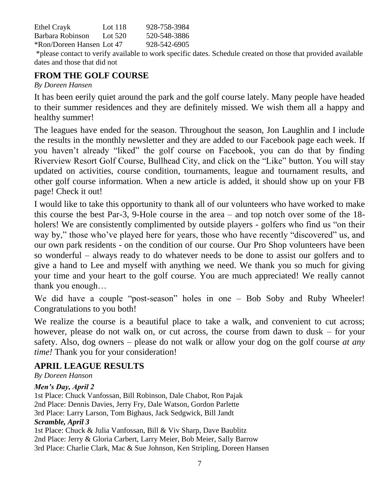| Ethel Crayk               | Lot 118   | 928-758-3984 |
|---------------------------|-----------|--------------|
| Barbara Robinson          | Lot $520$ | 520-548-3886 |
| *Ron/Doreen Hansen Lot 47 |           | 928-542-6905 |

\*please contact to verify available to work specific dates. Schedule created on those that provided available dates and those that did not

### **FROM THE GOLF COURSE**

#### *By Doreen Hansen*

It has been eerily quiet around the park and the golf course lately. Many people have headed to their summer residences and they are definitely missed. We wish them all a happy and healthy summer!

The leagues have ended for the season. Throughout the season, Jon Laughlin and I include the results in the monthly newsletter and they are added to our Facebook page each week. If you haven't already "liked" the golf course on Facebook, you can do that by finding Riverview Resort Golf Course, Bullhead City, and click on the "Like" button. You will stay updated on activities, course condition, tournaments, league and tournament results, and other golf course information. When a new article is added, it should show up on your FB page! Check it out!

I would like to take this opportunity to thank all of our volunteers who have worked to make this course the best Par-3, 9-Hole course in the area – and top notch over some of the 18 holers! We are consistently complimented by outside players - golfers who find us "on their way by," those who've played here for years, those who have recently "discovered" us, and our own park residents - on the condition of our course. Our Pro Shop volunteers have been so wonderful – always ready to do whatever needs to be done to assist our golfers and to give a hand to Lee and myself with anything we need. We thank you so much for giving your time and your heart to the golf course. You are much appreciated! We really cannot thank you enough…

We did have a couple "post-season" holes in one – Bob Soby and Ruby Wheeler! Congratulations to you both!

We realize the course is a beautiful place to take a walk, and convenient to cut across; however, please do not walk on, or cut across, the course from dawn to dusk – for your safety. Also, dog owners – please do not walk or allow your dog on the golf course *at any time!* Thank you for your consideration!

### **APRIL LEAGUE RESULTS**

*By Doreen Hanson*

#### *Men's Day, April 2*

1st Place: Chuck Vanfossan, Bill Robinson, Dale Chabot, Ron Pajak 2nd Place: Dennis Davies, Jerry Fry, Dale Watson, Gordon Parlette 3rd Place: Larry Larson, Tom Bighaus, Jack Sedgwick, Bill Jandt *Scramble, April 3*

1st Place: Chuck & Julia Vanfossan, Bill & Viv Sharp, Dave Baublitz 2nd Place: Jerry & Gloria Carbert, Larry Meier, Bob Meier, Sally Barrow 3rd Place: Charlie Clark, Mac & Sue Johnson, Ken Stripling, Doreen Hansen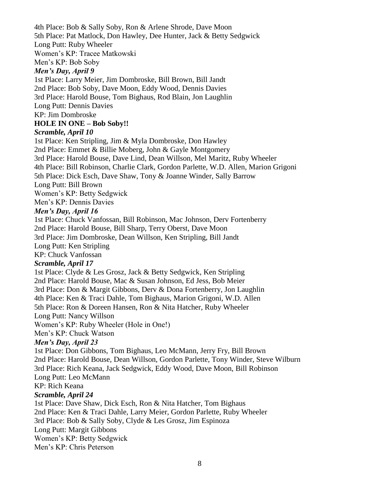4th Place: Bob & Sally Soby, Ron & Arlene Shrode, Dave Moon 5th Place: Pat Matlock, Don Hawley, Dee Hunter, Jack & Betty Sedgwick Long Putt: Ruby Wheeler Women's KP: Tracee Matkowski

Men's KP: Bob Soby

#### *Men's Day, April 9*

1st Place: Larry Meier, Jim Dombroske, Bill Brown, Bill Jandt 2nd Place: Bob Soby, Dave Moon, Eddy Wood, Dennis Davies 3rd Place: Harold Bouse, Tom Bighaus, Rod Blain, Jon Laughlin Long Putt: Dennis Davies KP: Jim Dombroske

#### **HOLE IN ONE – Bob Soby!!**

#### *Scramble, April 10*

1st Place: Ken Stripling, Jim & Myla Dombroske, Don Hawley 2nd Place: Emmet & Billie Moberg, John & Gayle Montgomery 3rd Place: Harold Bouse, Dave Lind, Dean Willson, Mel Maritz, Ruby Wheeler 4th Place: Bill Robinson, Charlie Clark, Gordon Parlette, W.D. Allen, Marion Grigoni 5th Place: Dick Esch, Dave Shaw, Tony & Joanne Winder, Sally Barrow Long Putt: Bill Brown Women's KP: Betty Sedgwick Men's KP: Dennis Davies

#### *Men's Day, April 16*

1st Place: Chuck Vanfossan, Bill Robinson, Mac Johnson, Derv Fortenberry

2nd Place: Harold Bouse, Bill Sharp, Terry Oberst, Dave Moon

3rd Place: Jim Dombroske, Dean Willson, Ken Stripling, Bill Jandt

Long Putt: Ken Stripling

KP: Chuck Vanfossan

#### *Scramble, April 17*

1st Place: Clyde & Les Grosz, Jack & Betty Sedgwick, Ken Stripling 2nd Place: Harold Bouse, Mac & Susan Johnson, Ed Jess, Bob Meier 3rd Place: Don & Margit Gibbons, Derv & Dona Fortenberry, Jon Laughlin 4th Place: Ken & Traci Dahle, Tom Bighaus, Marion Grigoni, W.D. Allen 5th Place: Ron & Doreen Hansen, Ron & Nita Hatcher, Ruby Wheeler Long Putt: Nancy Willson Women's KP: Ruby Wheeler (Hole in One!)

Men's KP: Chuck Watson

### *Men's Day, April 23*

1st Place: Don Gibbons, Tom Bighaus, Leo McMann, Jerry Fry, Bill Brown 2nd Place: Harold Bouse, Dean Willson, Gordon Parlette, Tony Winder, Steve Wilburn 3rd Place: Rich Keana, Jack Sedgwick, Eddy Wood, Dave Moon, Bill Robinson Long Putt: Leo McMann

#### KP: Rich Keana

#### *Scramble, April 24*

1st Place: Dave Shaw, Dick Esch, Ron & Nita Hatcher, Tom Bighaus 2nd Place: Ken & Traci Dahle, Larry Meier, Gordon Parlette, Ruby Wheeler 3rd Place: Bob & Sally Soby, Clyde & Les Grosz, Jim Espinoza Long Putt: Margit Gibbons Women's KP: Betty Sedgwick Men's KP: Chris Peterson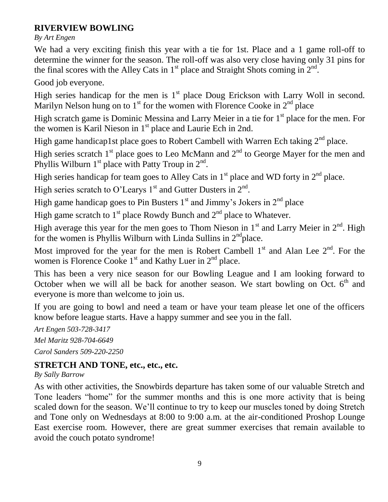### **RIVERVIEW BOWLING**

*By Art Engen*

We had a very exciting finish this year with a tie for 1st. Place and a 1 game roll-off to determine the winner for the season. The roll-off was also very close having only 31 pins for the final scores with the Alley Cats in  $1<sup>st</sup>$  place and Straight Shots coming in  $2<sup>nd</sup>$ .

Good job everyone.

High series handicap for the men is  $1<sup>st</sup>$  place Doug Erickson with Larry Woll in second. Marilyn Nelson hung on to  $1<sup>st</sup>$  for the women with Florence Cooke in  $2<sup>nd</sup>$  place

High scratch game is Dominic Messina and Larry Meier in a tie for  $1<sup>st</sup>$  place for the men. For the women is Karil Nieson in  $1<sup>st</sup>$  place and Laurie Ech in 2nd.

High game handicap1st place goes to Robert Cambell with Warren Ech taking  $2<sup>nd</sup>$  place.

High series scratch  $1<sup>st</sup>$  place goes to Leo McMann and  $2<sup>nd</sup>$  to George Mayer for the men and Phyllis Wilburn  $1<sup>st</sup>$  place with Patty Troup in  $2<sup>nd</sup>$ .

High series handicap for team goes to Alley Cats in  $1<sup>st</sup>$  place and WD forty in  $2<sup>nd</sup>$  place.

High series scratch to O'Learys 1<sup>st</sup> and Gutter Dusters in  $2<sup>nd</sup>$ .

High game handicap goes to Pin Busters  $1<sup>st</sup>$  and Jimmy's Jokers in  $2<sup>nd</sup>$  place

High game scratch to  $1<sup>st</sup>$  place Rowdy Bunch and  $2<sup>nd</sup>$  place to Whatever.

High average this year for the men goes to Thom Nieson in  $1<sup>st</sup>$  and Larry Meier in  $2<sup>nd</sup>$ . High for the women is Phyllis Wilburn with Linda Sullins in  $2<sup>nd</sup>$ place.

Most improved for the year for the men is Robert Cambell  $1<sup>st</sup>$  and Alan Lee  $2<sup>nd</sup>$ . For the women is Florence Cooke  $1<sup>st</sup>$  and Kathy Luer in  $2<sup>nd</sup>$  place.

This has been a very nice season for our Bowling League and I am looking forward to October when we will all be back for another season. We start bowling on Oct.  $6<sup>th</sup>$  and everyone is more than welcome to join us.

If you are going to bowl and need a team or have your team please let one of the officers know before league starts. Have a happy summer and see you in the fall.

*Art Engen 503-728-3417 Mel Maritz 928-704-6649 Carol Sanders 509-220-2250*

### **STRETCH AND TONE, etc., etc., etc.**

*By Sally Barrow*

As with other activities, the Snowbirds departure has taken some of our valuable Stretch and Tone leaders "home" for the summer months and this is one more activity that is being scaled down for the season. We'll continue to try to keep our muscles toned by doing Stretch and Tone only on Wednesdays at 8:00 to 9:00 a.m. at the air-conditioned Proshop Lounge East exercise room. However, there are great summer exercises that remain available to avoid the couch potato syndrome!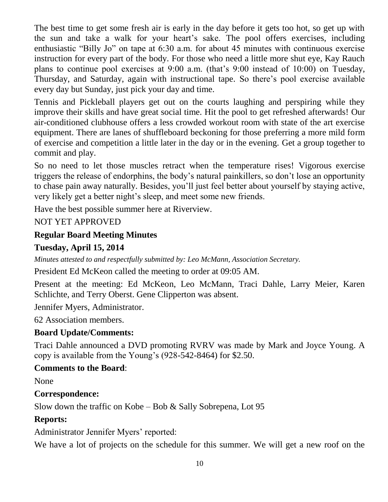The best time to get some fresh air is early in the day before it gets too hot, so get up with the sun and take a walk for your heart's sake. The pool offers exercises, including enthusiastic "Billy Jo" on tape at 6:30 a.m. for about 45 minutes with continuous exercise instruction for every part of the body. For those who need a little more shut eye, Kay Rauch plans to continue pool exercises at 9:00 a.m. (that's 9:00 instead of 10:00) on Tuesday, Thursday, and Saturday, again with instructional tape. So there's pool exercise available every day but Sunday, just pick your day and time.

Tennis and Pickleball players get out on the courts laughing and perspiring while they improve their skills and have great social time. Hit the pool to get refreshed afterwards! Our air-conditioned clubhouse offers a less crowded workout room with state of the art exercise equipment. There are lanes of shuffleboard beckoning for those preferring a more mild form of exercise and competition a little later in the day or in the evening. Get a group together to commit and play.

So no need to let those muscles retract when the temperature rises! Vigorous exercise triggers the release of endorphins, the body's natural painkillers, so don't lose an opportunity to chase pain away naturally. Besides, you'll just feel better about yourself by staying active, very likely get a better night's sleep, and meet some new friends.

Have the best possible summer here at Riverview.

### NOT YET APPROVED

### **Regular Board Meeting Minutes**

### **Tuesday, April 15, 2014**

*Minutes attested to and respectfully submitted by: Leo McMann, Association Secretary.*

President Ed McKeon called the meeting to order at 09:05 AM.

Present at the meeting: Ed McKeon, Leo McMann, Traci Dahle, Larry Meier, Karen Schlichte, and Terry Oberst. Gene Clipperton was absent.

Jennifer Myers, Administrator.

62 Association members.

### **Board Update/Comments:**

Traci Dahle announced a DVD promoting RVRV was made by Mark and Joyce Young. A copy is available from the Young's (928-542-8464) for \$2.50.

### **Comments to the Board**:

None

### **Correspondence:**

Slow down the traffic on Kobe – Bob & Sally Sobrepena, Lot 95

### **Reports:**

Administrator Jennifer Myers' reported:

We have a lot of projects on the schedule for this summer. We will get a new roof on the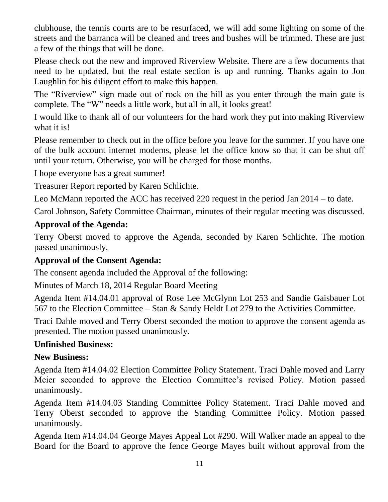clubhouse, the tennis courts are to be resurfaced, we will add some lighting on some of the streets and the barranca will be cleaned and trees and bushes will be trimmed. These are just a few of the things that will be done.

Please check out the new and improved Riverview Website. There are a few documents that need to be updated, but the real estate section is up and running. Thanks again to Jon Laughlin for his diligent effort to make this happen.

The "Riverview" sign made out of rock on the hill as you enter through the main gate is complete. The "W" needs a little work, but all in all, it looks great!

I would like to thank all of our volunteers for the hard work they put into making Riverview what it is!

Please remember to check out in the office before you leave for the summer. If you have one of the bulk account internet modems, please let the office know so that it can be shut off until your return. Otherwise, you will be charged for those months.

I hope everyone has a great summer!

Treasurer Report reported by Karen Schlichte.

Leo McMann reported the ACC has received 220 request in the period Jan 2014 – to date.

Carol Johnson, Safety Committee Chairman, minutes of their regular meeting was discussed.

### **Approval of the Agenda:**

Terry Oberst moved to approve the Agenda, seconded by Karen Schlichte. The motion passed unanimously.

### **Approval of the Consent Agenda:**

The consent agenda included the Approval of the following:

Minutes of March 18, 2014 Regular Board Meeting

Agenda Item #14.04.01 approval of Rose Lee McGlynn Lot 253 and Sandie Gaisbauer Lot 567 to the Election Committee – Stan & Sandy Heldt Lot 279 to the Activities Committee.

Traci Dahle moved and Terry Oberst seconded the motion to approve the consent agenda as presented. The motion passed unanimously.

### **Unfinished Business:**

### **New Business:**

Agenda Item #14.04.02 Election Committee Policy Statement. Traci Dahle moved and Larry Meier seconded to approve the Election Committee's revised Policy. Motion passed unanimously.

Agenda Item #14.04.03 Standing Committee Policy Statement. Traci Dahle moved and Terry Oberst seconded to approve the Standing Committee Policy. Motion passed unanimously.

Agenda Item #14.04.04 George Mayes Appeal Lot #290. Will Walker made an appeal to the Board for the Board to approve the fence George Mayes built without approval from the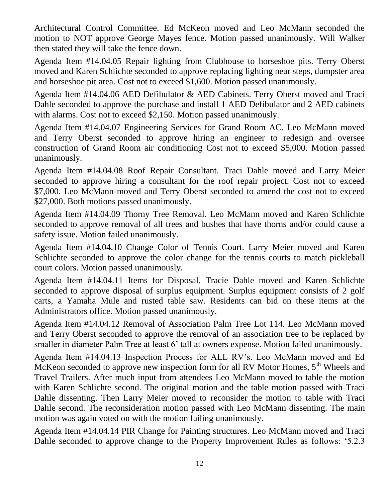Architectural Control Committee. Ed McKeon moved and Leo McMann seconded the motion to NOT approve George Mayes fence. Motion passed unanimously. Will Walker then stated they will take the fence down.

Agenda Item #14.04.05 Repair lighting from Clubhouse to horseshoe pits. Terry Oberst moved and Karen Schlichte seconded to approve replacing lighting near steps, dumpster area and horseshoe pit area. Cost not to exceed \$1,600. Motion passed unanimously.

Agenda Item #14.04.06 AED Defibulator & AED Cabinets. Terry Oberst moved and Traci Dahle seconded to approve the purchase and install 1 AED Defibulator and 2 AED cabinets with alarms. Cost not to exceed \$2,150. Motion passed unanimously.

Agenda Item #14.04.07 Engineering Services for Grand Room AC. Leo McMann moved and Terry Oberst seconded to approve hiring an engineer to redesign and oversee construction of Grand Room air conditioning Cost not to exceed \$5,000. Motion passed unanimously.

Agenda Item #14.04.08 Roof Repair Consultant. Traci Dahle moved and Larry Meier seconded to approve hiring a consultant for the roof repair project. Cost not to exceed \$7,000. Leo McMann moved and Terry Oberst seconded to amend the cost not to exceed \$27,000. Both motions passed unanimously.

Agenda Item #14.04.09 Thorny Tree Removal. Leo McMann moved and Karen Schlichte seconded to approve removal of all trees and bushes that have thorns and/or could cause a safety issue. Motion failed unanimously.

Agenda Item #14.04.10 Change Color of Tennis Court. Larry Meier moved and Karen Schlichte seconded to approve the color change for the tennis courts to match pickleball court colors. Motion passed unanimously.

Agenda Item #14.04.11 Items for Disposal. Tracie Dahle moved and Karen Schlichte seconded to approve disposal of surplus equipment. Surplus equipment consists of 2 golf carts, a Yamaha Mule and rusted table saw. Residents can bid on these items at the Administrators office. Motion passed unanimously.

Agenda Item #14.04.12 Removal of Association Palm Tree Lot 114. Leo McMann moved and Terry Oberst seconded to approve the removal of an association tree to be replaced by smaller in diameter Palm Tree at least 6' tall at owners expense. Motion failed unanimously.

Agenda Item #14.04.13 Inspection Process for ALL RV's. Leo McMann moved and Ed McKeon seconded to approve new inspection form for all RV Motor Homes,  $5<sup>th</sup>$  Wheels and Travel Trailers. After much input from attendees Leo McMann moved to table the motion with Karen Schlichte second. The original motion and the table motion passed with Traci Dahle dissenting. Then Larry Meier moved to reconsider the motion to table with Traci Dahle second. The reconsideration motion passed with Leo McMann dissenting. The main motion was again voted on with the motion failing unanimously.

Agenda Item #14.04.14 PIR Change for Painting structures. Leo McMann moved and Traci Dahle seconded to approve change to the Property Improvement Rules as follows: '5.2.3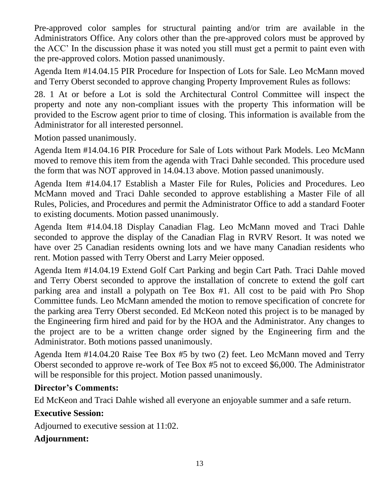Pre-approved color samples for structural painting and/or trim are available in the Administrators Office. Any colors other than the pre-approved colors must be approved by the ACC' In the discussion phase it was noted you still must get a permit to paint even with the pre-approved colors. Motion passed unanimously.

Agenda Item #14.04.15 PIR Procedure for Inspection of Lots for Sale. Leo McMann moved and Terry Oberst seconded to approve changing Property Improvement Rules as follows:

28. 1 At or before a Lot is sold the Architectural Control Committee will inspect the property and note any non-compliant issues with the property This information will be provided to the Escrow agent prior to time of closing. This information is available from the Administrator for all interested personnel.

Motion passed unanimously.

Agenda Item #14.04.16 PIR Procedure for Sale of Lots without Park Models. Leo McMann moved to remove this item from the agenda with Traci Dahle seconded. This procedure used the form that was NOT approved in 14.04.13 above. Motion passed unanimously.

Agenda Item #14.04.17 Establish a Master File for Rules, Policies and Procedures. Leo McMann moved and Traci Dahle seconded to approve establishing a Master File of all Rules, Policies, and Procedures and permit the Administrator Office to add a standard Footer to existing documents. Motion passed unanimously.

Agenda Item #14.04.18 Display Canadian Flag. Leo McMann moved and Traci Dahle seconded to approve the display of the Canadian Flag in RVRV Resort. It was noted we have over 25 Canadian residents owning lots and we have many Canadian residents who rent. Motion passed with Terry Oberst and Larry Meier opposed.

Agenda Item #14.04.19 Extend Golf Cart Parking and begin Cart Path. Traci Dahle moved and Terry Oberst seconded to approve the installation of concrete to extend the golf cart parking area and install a polypath on Tee Box #1. All cost to be paid with Pro Shop Committee funds. Leo McMann amended the motion to remove specification of concrete for the parking area Terry Oberst seconded. Ed McKeon noted this project is to be managed by the Engineering firm hired and paid for by the HOA and the Administrator. Any changes to the project are to be a written change order signed by the Engineering firm and the Administrator. Both motions passed unanimously.

Agenda Item #14.04.20 Raise Tee Box #5 by two (2) feet. Leo McMann moved and Terry Oberst seconded to approve re-work of Tee Box #5 not to exceed \$6,000. The Administrator will be responsible for this project. Motion passed unanimously.

### **Director's Comments:**

Ed McKeon and Traci Dahle wished all everyone an enjoyable summer and a safe return.

### **Executive Session:**

Adjourned to executive session at 11:02.

### **Adjournment:**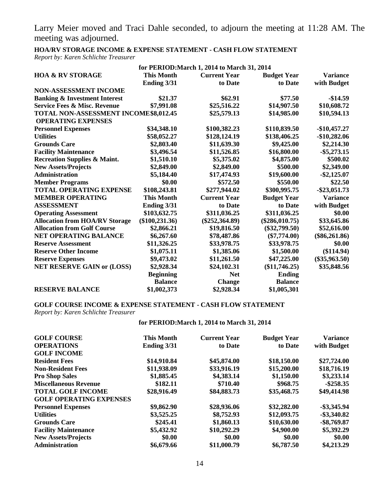Larry Meier moved and Traci Dahle seconded, to adjourn the meeting at 11:28 AM. The meeting was adjourned.

**HOA/RV STORAGE INCOME & EXPENSE STATEMENT - CASH FLOW STATEMENT** *Report by: Karen Schlichte Treasurer*

| for PERIOD: March 1, 2014 to March 31, 2014 |                   |                     |                    |                 |
|---------------------------------------------|-------------------|---------------------|--------------------|-----------------|
| <b>HOA &amp; RV STORAGE</b>                 | <b>This Month</b> | <b>Current Year</b> | <b>Budget Year</b> | <b>Variance</b> |
|                                             | Ending 3/31       | to Date             | to Date            | with Budget     |
| <b>NON-ASSESSMENT INCOME</b>                |                   |                     |                    |                 |
| <b>Banking &amp; Investment Interest</b>    | \$21.37           | \$62.91             | \$77.50            | $-$14.59$       |
| <b>Service Fees &amp; Misc. Revenue</b>     | \$7,991.08        | \$25,516.22         | \$14,907.50        | \$10,608.72     |
| TOTAL NON-ASSESSMENT INCOME \$8,012.45      |                   | \$25,579.13         | \$14,985.00        | \$10,594.13     |
| <b>OPERATING EXPENSES</b>                   |                   |                     |                    |                 |
| <b>Personnel Expenses</b>                   | \$34,348.10       | \$100,382.23        | \$110,839.50       | $-$10,457.27$   |
| <b>Utilities</b>                            | \$58,052.27       | \$128,124.19        | \$138,406.25       | $-$10,282.06$   |
| <b>Grounds Care</b>                         | \$2,803.40        | \$11,639.30         | \$9,425.00         | \$2,214.30      |
| <b>Facility Maintenance</b>                 | \$3,496.54        | \$11,526.85         | \$16,800.00        | $-$ \$5,273.15  |
| <b>Recreation Supplies &amp; Maint.</b>     | \$1,510.10        | \$5,375.02          | \$4,875.00         | \$500.02        |
| <b>New Assets/Projects</b>                  | \$2,849.00        | \$2,849.00          | \$500.00           | \$2,349.00      |
| <b>Administration</b>                       | \$5,184.40        | \$17,474.93         | \$19,600.00        | $-$ \$2,125.07  |
| <b>Member Programs</b>                      | \$0.00            | \$572.50            | \$550.00           | \$22.50         |
| <b>TOTAL OPERATING EXPENSE</b>              | \$108,243.81      | \$277,944.02        | \$300,995.75       | $-$ \$23,051.73 |
| <b>MEMBER OPERATING</b>                     | <b>This Month</b> | <b>Current Year</b> | <b>Budget Year</b> | <b>Variance</b> |
| <b>ASSESSMENT</b>                           | Ending 3/31       | to Date             | to Date            | with Budget     |
| <b>Operating Assessment</b>                 | \$103,632.75      | \$311,036.25        | \$311,036.25       | \$0.00          |
| <b>Allocation from HOA/RV Storage</b>       | $(\$100, 231.36)$ | $(\$252,364.89)$    | $(\$286,010.75)$   | \$33,645.86     |
| <b>Allocation from Golf Course</b>          | \$2,866.21        | \$19,816.50         | $(\$32,799.50)$    | \$52,616.00     |
| <b>NET OPERATING BALANCE</b>                | \$6,267.60        | \$78,487.86         | $(\$7,774.00)$     | $(\$86,261.86)$ |
| <b>Reserve Assessment</b>                   | \$11,326.25       | \$33,978.75         | \$33,978.75        | \$0.00          |
| <b>Reserve Other Income</b>                 | \$1,075.11        | \$1,385.06          | \$1,500.00         | (\$114.94)      |
| <b>Reserve Expenses</b>                     | \$9,473.02        | \$11,261.50         | \$47,225.00        | $(\$35,963.50)$ |
| <b>NET RESERVE GAIN or (LOSS)</b>           | \$2,928.34        | \$24,102.31         | (\$11,746.25)      | \$35,848.56     |
|                                             | <b>Beginning</b>  | <b>Net</b>          | <b>Ending</b>      |                 |
|                                             | <b>Balance</b>    | <b>Change</b>       | <b>Balance</b>     |                 |
| <b>RESERVE BALANCE</b>                      | \$1,002,373       | \$2,928.34          | \$1,005,301        |                 |

#### **GOLF COURSE INCOME & EXPENSE STATEMENT - CASH FLOW STATEMENT**

*Report by: Karen Schlichte Treasurer*

#### **for PERIOD:March 1, 2014 to March 31, 2014**

| <b>GOLF COURSE</b>             | <b>This Month</b> | <b>Current Year</b> | <b>Budget Year</b> | <b>Variance</b> |
|--------------------------------|-------------------|---------------------|--------------------|-----------------|
| <b>OPERATIONS</b>              | Ending 3/31       | to Date             | to Date            | with Budget     |
| <b>GOLF INCOME</b>             |                   |                     |                    |                 |
| <b>Resident Fees</b>           | \$14,910.84       | \$45,874.00         | \$18,150.00        | \$27,724.00     |
| <b>Non-Resident Fees</b>       | \$11,938.09       | \$33,916.19         | \$15,200.00        | \$18,716.19     |
| <b>Pro Shop Sales</b>          | \$1,885.45        | \$4,383.14          | \$1,150.00         | \$3,233.14      |
| <b>Miscellaneous Revenue</b>   | \$182.11          | \$710.40            | \$968.75           | $-$ \$258.35    |
| <b>TOTAL GOLF INCOME</b>       | \$28,916.49       | \$84,883.73         | \$35,468.75        | \$49,414.98     |
| <b>GOLF OPERATING EXPENSES</b> |                   |                     |                    |                 |
| <b>Personnel Expenses</b>      | \$9,862.90        | \$28,936.06         | \$32,282.00        | $-$ \$3,345.94  |
| <b>Utilities</b>               | \$3,525.25        | \$8,752.93          | \$12,093.75        | $-$ \$3,340.82  |
| <b>Grounds Care</b>            | \$245.41          | \$1,860.13          | \$10,630.00        | $-$ \$8,769.87  |
| <b>Facility Maintenance</b>    | \$5,432.92        | \$10,292.29         | \$4,900.00         | \$5,392.29      |
| <b>New Assets/Projects</b>     | \$0.00            | \$0.00              | \$0.00             | \$0.00          |
| Administration                 | \$6,679.66        | \$11,000.79         | \$6,787.50         | \$4,213.29      |